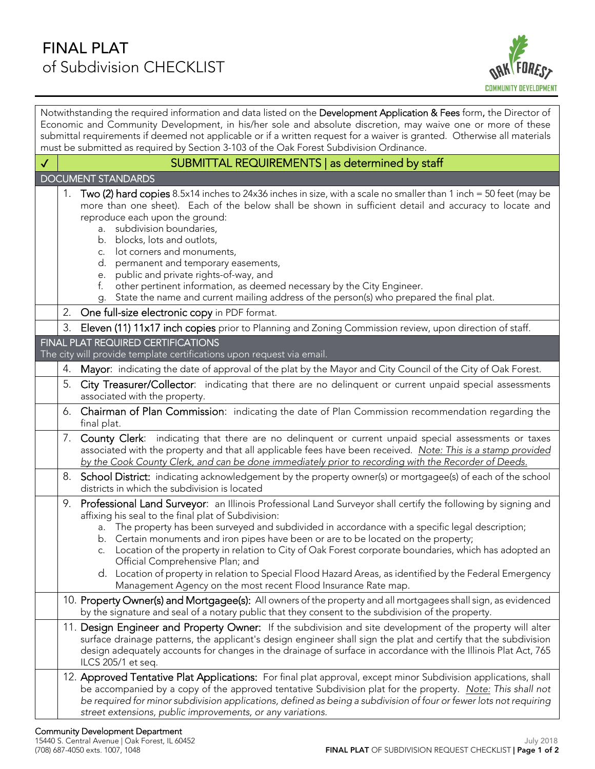## FINAL PLAT of Subdivision CHECKLIST



| Notwithstanding the required information and data listed on the Development Application & Fees form, the Director of<br>Economic and Community Development, in his/her sole and absolute discretion, may waive one or more of these<br>submittal requirements if deemed not applicable or if a written request for a waiver is granted. Otherwise all materials |                                                                                                                                                                                                                                                                                                                                                                                                                                                                                                                                                                                                                   |  |
|-----------------------------------------------------------------------------------------------------------------------------------------------------------------------------------------------------------------------------------------------------------------------------------------------------------------------------------------------------------------|-------------------------------------------------------------------------------------------------------------------------------------------------------------------------------------------------------------------------------------------------------------------------------------------------------------------------------------------------------------------------------------------------------------------------------------------------------------------------------------------------------------------------------------------------------------------------------------------------------------------|--|
| must be submitted as required by Section 3-103 of the Oak Forest Subdivision Ordinance.<br>SUBMITTAL REQUIREMENTS   as determined by staff<br>$\checkmark$                                                                                                                                                                                                      |                                                                                                                                                                                                                                                                                                                                                                                                                                                                                                                                                                                                                   |  |
| <b>DOCUMENT STANDARDS</b>                                                                                                                                                                                                                                                                                                                                       |                                                                                                                                                                                                                                                                                                                                                                                                                                                                                                                                                                                                                   |  |
| 1.<br>C.<br>e.<br>f.<br>g.                                                                                                                                                                                                                                                                                                                                      | Two (2) hard copies 8.5x14 inches to 24x36 inches in size, with a scale no smaller than 1 inch = 50 feet (may be<br>more than one sheet). Each of the below shall be shown in sufficient detail and accuracy to locate and<br>reproduce each upon the ground:<br>a. subdivision boundaries,<br>b. blocks, lots and outlots,<br>lot corners and monuments,<br>d. permanent and temporary easements,<br>public and private rights-of-way, and<br>other pertinent information, as deemed necessary by the City Engineer.<br>State the name and current mailing address of the person(s) who prepared the final plat. |  |
| 2.                                                                                                                                                                                                                                                                                                                                                              | One full-size electronic copy in PDF format.                                                                                                                                                                                                                                                                                                                                                                                                                                                                                                                                                                      |  |
| 3.                                                                                                                                                                                                                                                                                                                                                              | Eleven (11) 11x17 inch copies prior to Planning and Zoning Commission review, upon direction of staff.                                                                                                                                                                                                                                                                                                                                                                                                                                                                                                            |  |
|                                                                                                                                                                                                                                                                                                                                                                 | FINAL PLAT REQUIRED CERTIFICATIONS<br>The city will provide template certifications upon request via email.                                                                                                                                                                                                                                                                                                                                                                                                                                                                                                       |  |
| 4.                                                                                                                                                                                                                                                                                                                                                              | Mayor: indicating the date of approval of the plat by the Mayor and City Council of the City of Oak Forest.                                                                                                                                                                                                                                                                                                                                                                                                                                                                                                       |  |
| 5.                                                                                                                                                                                                                                                                                                                                                              | City Treasurer/Collector: indicating that there are no delinquent or current unpaid special assessments<br>associated with the property.                                                                                                                                                                                                                                                                                                                                                                                                                                                                          |  |
| final plat.                                                                                                                                                                                                                                                                                                                                                     | 6. Chairman of Plan Commission: indicating the date of Plan Commission recommendation regarding the                                                                                                                                                                                                                                                                                                                                                                                                                                                                                                               |  |
| 7.                                                                                                                                                                                                                                                                                                                                                              | <b>County Clerk:</b> indicating that there are no delinquent or current unpaid special assessments or taxes<br>associated with the property and that all applicable fees have been received. Note: This is a stamp provided<br>by the Cook County Clerk, and can be done immediately prior to recording with the Recorder of Deeds.                                                                                                                                                                                                                                                                               |  |
|                                                                                                                                                                                                                                                                                                                                                                 | 8. School District: indicating acknowledgement by the property owner(s) or mortgagee(s) of each of the school<br>districts in which the subdivision is located                                                                                                                                                                                                                                                                                                                                                                                                                                                    |  |
| 9.                                                                                                                                                                                                                                                                                                                                                              | <b>Professional Land Surveyor:</b> an Illinois Professional Land Surveyor shall certify the following by signing and<br>affixing his seal to the final plat of Subdivision:                                                                                                                                                                                                                                                                                                                                                                                                                                       |  |
|                                                                                                                                                                                                                                                                                                                                                                 | a. The property has been surveyed and subdivided in accordance with a specific legal description;<br>b. Certain monuments and iron pipes have been or are to be located on the property;                                                                                                                                                                                                                                                                                                                                                                                                                          |  |
|                                                                                                                                                                                                                                                                                                                                                                 | c. Location of the property in relation to City of Oak Forest corporate boundaries, which has adopted an<br>Official Comprehensive Plan; and                                                                                                                                                                                                                                                                                                                                                                                                                                                                      |  |
|                                                                                                                                                                                                                                                                                                                                                                 | d. Location of property in relation to Special Flood Hazard Areas, as identified by the Federal Emergency<br>Management Agency on the most recent Flood Insurance Rate map.                                                                                                                                                                                                                                                                                                                                                                                                                                       |  |
|                                                                                                                                                                                                                                                                                                                                                                 | 10. Property Owner(s) and Mortgagee(s): All owners of the property and all mortgagees shall sign, as evidenced<br>by the signature and seal of a notary public that they consent to the subdivision of the property.                                                                                                                                                                                                                                                                                                                                                                                              |  |
|                                                                                                                                                                                                                                                                                                                                                                 | 11. Design Engineer and Property Owner: If the subdivision and site development of the property will alter<br>surface drainage patterns, the applicant's design engineer shall sign the plat and certify that the subdivision<br>design adequately accounts for changes in the drainage of surface in accordance with the Illinois Plat Act, 765<br>ILCS 205/1 et seq.                                                                                                                                                                                                                                            |  |
|                                                                                                                                                                                                                                                                                                                                                                 | 12. Approved Tentative Plat Applications: For final plat approval, except minor Subdivision applications, shall<br>be accompanied by a copy of the approved tentative Subdivision plat for the property. Note: This shall not<br>be required for minor subdivision applications, defined as being a subdivision of four or fewer lots not requiring<br>street extensions, public improvements, or any variations.                                                                                                                                                                                                 |  |